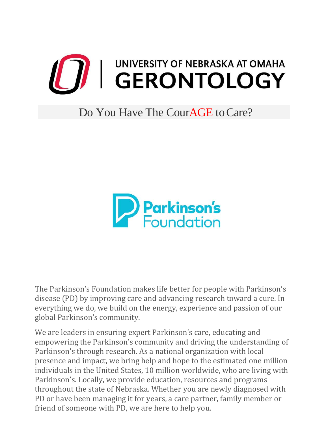

## Do You Have The Cour**AGE** to Care?



The Parkinson's Foundation makes life better for people with Parkinson's disease (PD) by improving care and advancing research toward a cure. In everything we do, we build on the energy, experience and passion of our global Parkinson's community.

We are leaders in ensuring expert Parkinson's care, educating and empowering the Parkinson's community and driving the understanding of Parkinson's through research. As a national organization with local presence and impact, we bring help and hope to the estimated one million individuals in the United States, 10 million worldwide, who are living with Parkinson's. Locally, we provide education, resources and programs throughout the state of Nebraska. Whether you are newly diagnosed with PD or have been managing it for years, a care partner, family member or friend of someone with PD, we are here to help you.